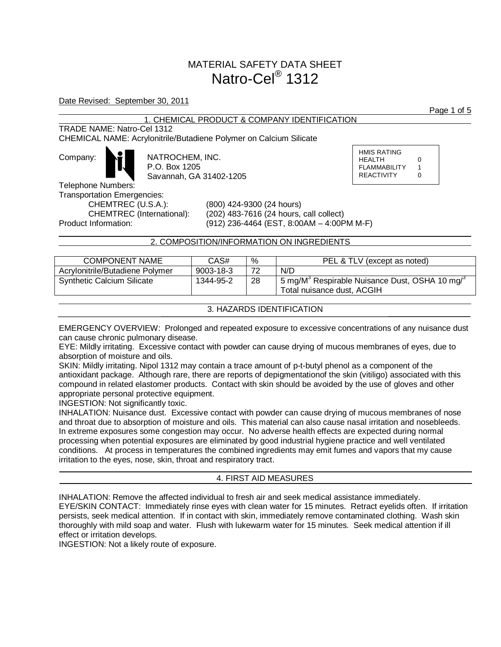# MATERIAL SAFETY DATA SHEET Natro-Cel<sup>®</sup> 1312

## Date Revised: September 30, 2011

## 1. CHEMICAL PRODUCT & COMPANY IDENTIFICATION

## TRADE NAME: Natro-Cel 1312

CHEMICAL NAME: Acrylonitrile/Butadiene Polymer on Calcium Silicate

| Company: |
|----------|
|----------|

NATROCHEM, INC. P.O. Box 1205 Savannah, GA 31402-1205 HMIS RATING HEALTH 0 FLAMMABILITY 1 REACTIVITY 0

Telephone Numbers: Transportation Emergencies:

CHEMTREC (U.S.A.): (800) 424-9300 (24 hours) CHEMTREC (International): (202) 483-7616 (24 hours, call collect) Product Information: (912) 236-4464 (EST, 8:00AM – 4:00PM M-F)

## 2. COMPOSITION/INFORMATION ON INGREDIENTS

| <b>COMPONENT NAME</b>             | CAS#            | %  | PEL & TLV (except as noted)                                                                               |
|-----------------------------------|-----------------|----|-----------------------------------------------------------------------------------------------------------|
| Acrylonitrile/Butadiene Polymer   | $9003 - 18 - 3$ | 72 | N/D                                                                                                       |
| <b>Synthetic Calcium Silicate</b> | 1344-95-2       | 28 | $^1$ 5 mg/M <sup>3</sup> Respirable Nuisance Dust, OSHA 10 mg/ <sup>3</sup><br>Total nuisance dust, ACGIH |
|                                   |                 |    |                                                                                                           |

## 3. HAZARDS IDENTIFICATION

EMERGENCY OVERVIEW: Prolonged and repeated exposure to excessive concentrations of any nuisance dust can cause chronic pulmonary disease.

EYE: Mildly irritating. Excessive contact with powder can cause drying of mucous membranes of eyes, due to absorption of moisture and oils.

SKIN: Mildly irritating. Nipol 1312 may contain a trace amount of p-t-butyl phenol as a component of the antioxidant package. Although rare, there are reports of depigmentationof the skin (vitiligo) associated with this compound in related elastomer products. Contact with skin should be avoided by the use of gloves and other appropriate personal protective equipment.

INGESTION: Not significantly toxic.

INHALATION: Nuisance dust. Excessive contact with powder can cause drying of mucous membranes of nose and throat due to absorption of moisture and oils. This material can also cause nasal irritation and nosebleeds. In extreme exposures some congestion may occur. No adverse health effects are expected during normal processing when potential exposures are eliminated by good industrial hygiene practice and well ventilated conditions. At process in temperatures the combined ingredients may emit fumes and vapors that my cause irritation to the eyes, nose, skin, throat and respiratory tract.

## 4. FIRST AID MEASURES

INHALATION: Remove the affected individual to fresh air and seek medical assistance immediately. EYE/SKIN CONTACT: Immediately rinse eyes with clean water for 15 minutes. Retract eyelids often. If irritation persists, seek medical attention. If in contact with skin, immediately remove contaminated clothing. Wash skin thoroughly with mild soap and water. Flush with lukewarm water for 15 minutes. Seek medical attention if ill effect or irritation develops.

INGESTION: Not a likely route of exposure.

Page 1 of 5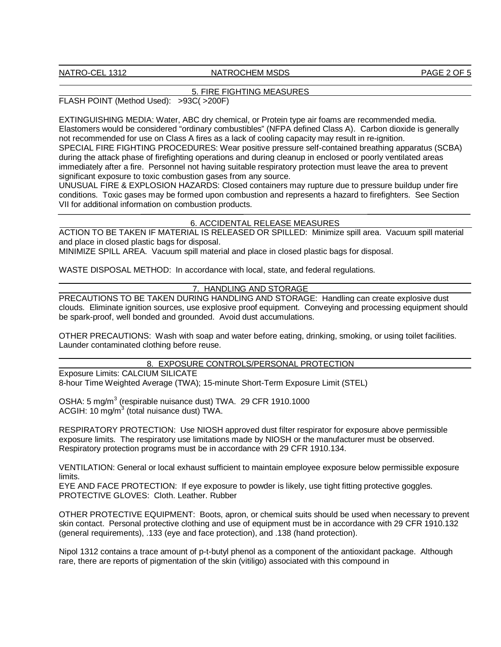#### NATRO-CEL 1312 NATROCHEM MSDS PAGE 2 OF 5

#### 5. FIRE FIGHTING MEASURES

FLASH POINT (Method Used): >93C( >200F)

EXTINGUISHING MEDIA: Water, ABC dry chemical, or Protein type air foams are recommended media. Elastomers would be considered "ordinary combustibles" (NFPA defined Class A). Carbon dioxide is generally not recommended for use on Class A fires as a lack of cooling capacity may result in re-ignition. SPECIAL FIRE FIGHTING PROCEDURES: Wear positive pressure self-contained breathing apparatus (SCBA) during the attack phase of firefighting operations and during cleanup in enclosed or poorly ventilated areas immediately after a fire. Personnel not having suitable respiratory protection must leave the area to prevent significant exposure to toxic combustion gases from any source.

UNUSUAL FIRE & EXPLOSION HAZARDS: Closed containers may rupture due to pressure buildup under fire conditions. Toxic gases may be formed upon combustion and represents a hazard to firefighters. See Section VII for additional information on combustion products.

#### 6. ACCIDENTAL RELEASE MEASURES

ACTION TO BE TAKEN IF MATERIAL IS RELEASED OR SPILLED: Minimize spill area. Vacuum spill material and place in closed plastic bags for disposal.

MINIMIZE SPILL AREA. Vacuum spill material and place in closed plastic bags for disposal.

WASTE DISPOSAL METHOD: In accordance with local, state, and federal regulations.

## 7. HANDLING AND STORAGE

PRECAUTIONS TO BE TAKEN DURING HANDLING AND STORAGE: Handling can create explosive dust clouds. Eliminate ignition sources, use explosive proof equipment. Conveying and processing equipment should be spark-proof, well bonded and grounded. Avoid dust accumulations.

OTHER PRECAUTIONS: Wash with soap and water before eating, drinking, smoking, or using toilet facilities. Launder contaminated clothing before reuse.

8. EXPOSURE CONTROLS/PERSONAL PROTECTION

Exposure Limits: CALCIUM SILICATE 8-hour Time Weighted Average (TWA); 15-minute Short-Term Exposure Limit (STEL)

OSHA: 5 mg/m<sup>3</sup> (respirable nuisance dust) TWA. 29 CFR 1910.1000 ACGIH: 10 mg/m $3$  (total nuisance dust) TWA.

RESPIRATORY PROTECTION: Use NIOSH approved dust filter respirator for exposure above permissible exposure limits. The respiratory use limitations made by NIOSH or the manufacturer must be observed. Respiratory protection programs must be in accordance with 29 CFR 1910.134.

VENTILATION: General or local exhaust sufficient to maintain employee exposure below permissible exposure limits.

EYE AND FACE PROTECTION: If eye exposure to powder is likely, use tight fitting protective goggles. PROTECTIVE GLOVES: Cloth. Leather. Rubber

OTHER PROTECTIVE EQUIPMENT: Boots, apron, or chemical suits should be used when necessary to prevent skin contact. Personal protective clothing and use of equipment must be in accordance with 29 CFR 1910.132 (general requirements), .133 (eye and face protection), and .138 (hand protection).

Nipol 1312 contains a trace amount of p-t-butyl phenol as a component of the antioxidant package. Although rare, there are reports of pigmentation of the skin (vitiligo) associated with this compound in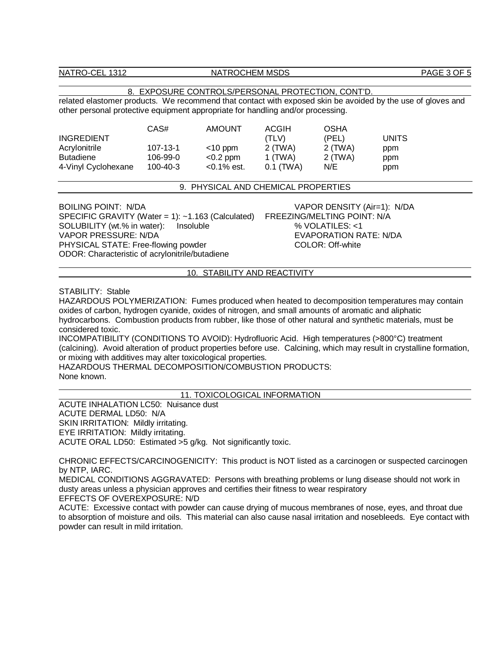NATRO-CEL 1312 NATROCHEM MSDS PAGE 3 OF 5

#### 8. EXPOSURE CONTROLS/PERSONAL PROTECTION, CONT'D.

related elastomer products. We recommend that contact with exposed skin be avoided by the use of gloves and other personal protective equipment appropriate for handling and/or processing.

| <b>INGREDIENT</b>   | CAS#           | <b>AMOUNT</b>  | ACGIH<br>(TLV) | <b>OSHA</b><br>(PEL) | UNITS. |
|---------------------|----------------|----------------|----------------|----------------------|--------|
|                     |                |                |                |                      |        |
| Acrylonitrile       | $107 - 13 - 1$ | $<$ 10 ppm     | 2 (TWA)        | $2$ (TWA)            | ppm    |
| <b>Butadiene</b>    | 106-99-0       | $< 0.2$ ppm    | 1 (TWA)        | 2 (TWA)              | ppm    |
| 4-Vinyl Cyclohexane | 100-40-3       | $< 0.1\%$ est. | $0.1$ (TWA)    | N/E                  | ppm    |

#### 9. PHYSICAL AND CHEMICAL PROPERTIES

SPECIFIC GRAVITY (Water = 1): ~1.163 (Calculated) FREEZING/MELTING POINT: N/A<br>SOLUBILITY (wt.% in water): lnsoluble the manner of the manner of the solution of the solution of the manner SOLUBILITY (wt.% in water): Insoluble VAPOR PRESSURE: N/DA EVAPORATION RATE: N/DA PHYSICAL STATE: Free-flowing powder COLOR: Off-white ODOR: Characteristic of acrylonitrile/butadiene

BOILING POINT: N/DA VAPOR DENSITY (Air=1): N/DA

#### 10. STABILITY AND REACTIVITY

#### STABILITY: Stable

HAZARDOUS POLYMERIZATION: Fumes produced when heated to decomposition temperatures may contain oxides of carbon, hydrogen cyanide, oxides of nitrogen, and small amounts of aromatic and aliphatic hydrocarbons. Combustion products from rubber, like those of other natural and synthetic materials, must be considered toxic.

INCOMPATIBILITY (CONDITIONS TO AVOID): Hydrofluoric Acid. High temperatures (>800°C) treatment (calcining). Avoid alteration of product properties before use. Calcining, which may result in crystalline formation, or mixing with additives may alter toxicological properties.

HAZARDOUS THERMAL DECOMPOSITION/COMBUSTION PRODUCTS: None known.

## 11. TOXICOLOGICAL INFORMATION

ACUTE INHALATION LC50: Nuisance dust ACUTE DERMAL LD50: N/A SKIN IRRITATION: Mildly irritating. EYE IRRITATION: Mildly irritating. ACUTE ORAL LD50: Estimated >5 g/kg. Not significantly toxic.

CHRONIC EFFECTS/CARCINOGENICITY: This product is NOT listed as a carcinogen or suspected carcinogen by NTP, IARC.

MEDICAL CONDITIONS AGGRAVATED: Persons with breathing problems or lung disease should not work in dusty areas unless a physician approves and certifies their fitness to wear respiratory EFFECTS OF OVEREXPOSURE: N/D

ACUTE: Excessive contact with powder can cause drying of mucous membranes of nose, eyes, and throat due to absorption of moisture and oils. This material can also cause nasal irritation and nosebleeds. Eye contact with powder can result in mild irritation.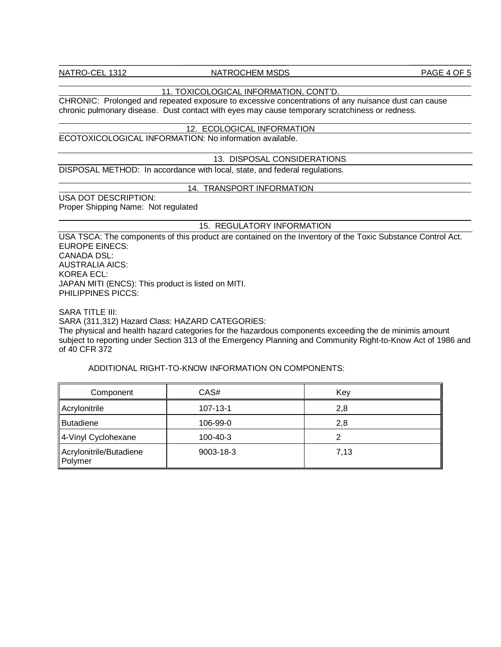## NATRO-CEL 1312 NATROCHEM MSDS PAGE 4 OF 5

## 11. TOXICOLOGICAL INFORMATION, CONT'D.

CHRONIC: Prolonged and repeated exposure to excessive concentrations of any nuisance dust can cause chronic pulmonary disease. Dust contact with eyes may cause temporary scratchiness or redness.

#### 12. ECOLOGICAL INFORMATION

ECOTOXICOLOGICAL INFORMATION: No information available.

#### 13. DISPOSAL CONSIDERATIONS

DISPOSAL METHOD: In accordance with local, state, and federal regulations.

#### 14. TRANSPORT INFORMATION

USA DOT DESCRIPTION: Proper Shipping Name: Not regulated

#### 15. REGULATORY INFORMATION

USA TSCA: The components of this product are contained on the Inventory of the Toxic Substance Control Act. EUROPE EINECS: CANADA DSL: AUSTRALIA AICS: KOREA ECL: JAPAN MITI (ENCS): This product is listed on MITI. PHILIPPINES PICCS:

SARA TITLE III:

SARA (311,312) Hazard Class: HAZARD CATEGORIES:

The physical and health hazard categories for the hazardous components exceeding the de minimis amount subject to reporting under Section 313 of the Emergency Planning and Community Right-to-Know Act of 1986 and of 40 CFR 372

## ADDITIONAL RIGHT-TO-KNOW INFORMATION ON COMPONENTS:

| Component                          | CAS#      | Key  |
|------------------------------------|-----------|------|
| Acrylonitrile                      | 107-13-1  | 2,8  |
| Butadiene                          | 106-99-0  | 2,8  |
| 4-Vinyl Cyclohexane                | 100-40-3  |      |
| Acrylonitrile/Butadiene<br>Polymer | 9003-18-3 | 7,13 |